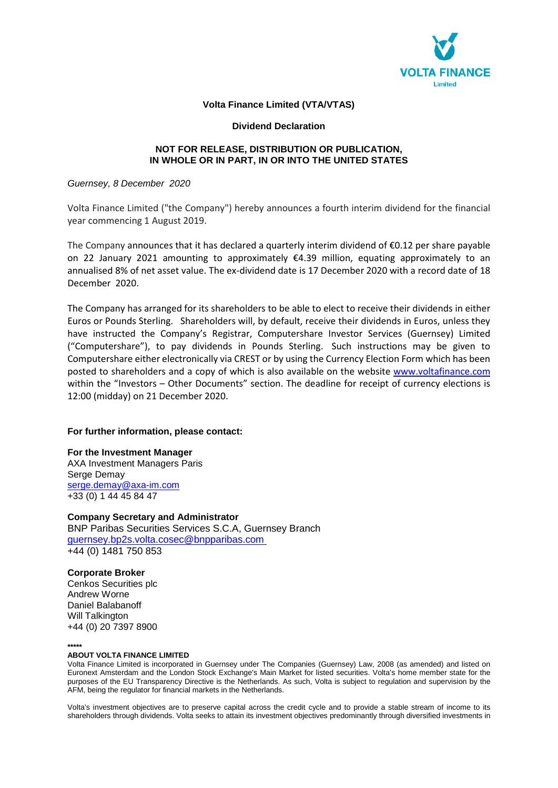

# **Volta Finance Limited (VTA/VTAS)**

### **Dividend Declaration**

# **NOT FOR RELEASE, DISTRIBUTION OR PUBLICATION, IN WHOLE OR IN PART, IN OR INTO THE UNITED STATES**

### *Guernsey, 8 December 2020*

Volta Finance Limited ("the Company") hereby announces a fourth interim dividend for the financial year commencing 1 August 2019.

The Company announces that it has declared a quarterly interim dividend of €0.12 per share payable on 22 January 2021 amounting to approximately €4.39 million, equating approximately to an annualised 8% of net asset value. The ex-dividend date is 17 December 2020 with a record date of 18 December 2020.

The Company has arranged for its shareholders to be able to elect to receive their dividends in either Euros or Pounds Sterling. Shareholders will, by default, receive their dividends in Euros, unless they have instructed the Company's Registrar, Computershare Investor Services (Guernsey) Limited ("Computershare"), to pay dividends in Pounds Sterling. Such instructions may be given to Computershare either electronically via CREST or by using the Currency Election Form which has been posted to shareholders and a copy of which is also available on the website www.voltafinance.com within the "Investors - Other Documents" section. The deadline for receipt of currency elections is 12:00 (midday) on 21 December 2020.

## **For further information, please contact:**

**For the Investment Manager**  AXA Investment Managers Paris Serge Demay serge.demay@axa-im.com +33 (0) 1 44 45 84 47

**Company Secretary and Administrator**  BNP Paribas Securities Services S.C.A, Guernsey Branch guernsey.bp2s.volta.cosec@bnpparibas.com +44 (0) 1481 750 853

**Corporate Broker** Cenkos Securities plc Andrew Worne Daniel Balabanoff Will Talkington +44 (0) 20 7397 8900

### **\*\*\*\*\***

### **ABOUT VOLTA FINANCE LIMITED**

Volta Finance Limited is incorporated in Guernsey under The Companies (Guernsey) Law, 2008 (as amended) and listed on Euronext Amsterdam and the London Stock Exchange's Main Market for listed securities. Volta's home member state for the purposes of the EU Transparency Directive is the Netherlands. As such, Volta is subject to regulation and supervision by the AFM, being the regulator for financial markets in the Netherlands.

Volta's investment objectives are to preserve capital across the credit cycle and to provide a stable stream of income to its shareholders through dividends. Volta seeks to attain its investment objectives predominantly through diversified investments in